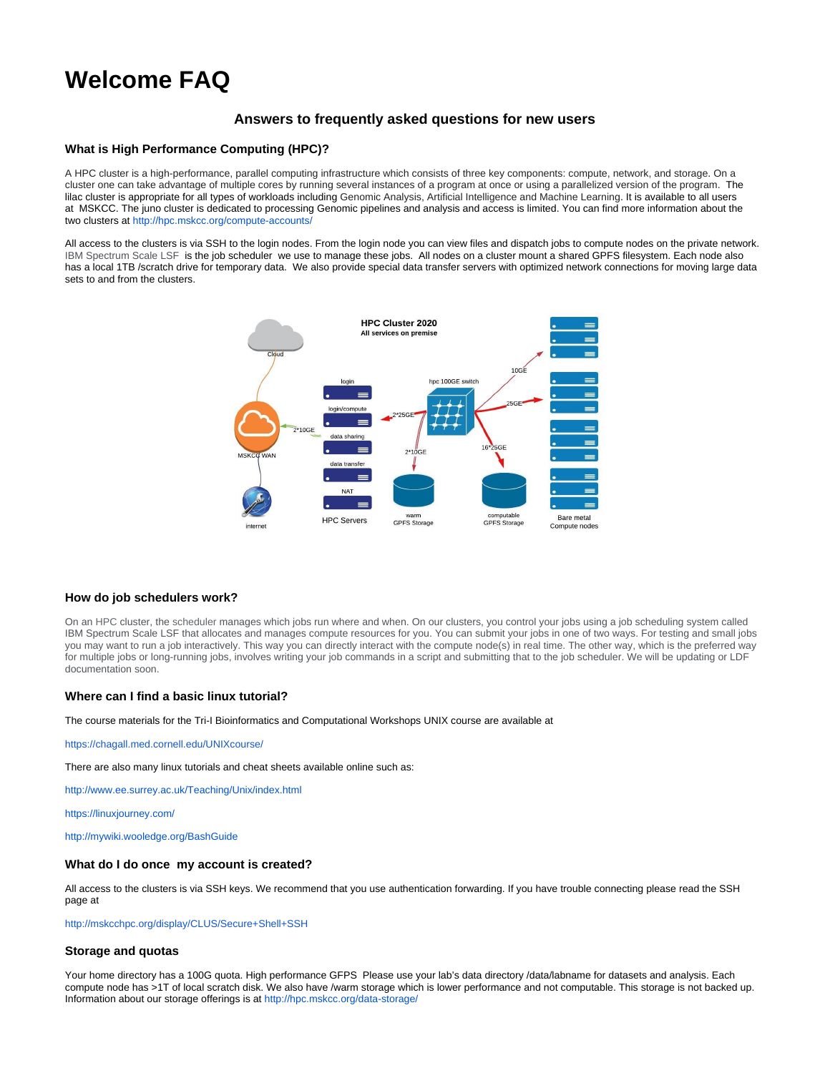# **Welcome FAQ**

## **Answers to frequently asked questions for new users**

## **What is High Performance Computing (HPC)?**

A HPC cluster is a high-performance, parallel computing infrastructure which consists of three key components: compute, network, and storage. On a cluster one can take advantage of multiple cores by running several instances of a program at once or using a parallelized version of the program. The lilac cluster is appropriate for all types of workloads including Genomic Analysis, Artificial Intelligence and Machine Learning. It is available to all users at MSKCC. The juno cluster is dedicated to processing Genomic pipelines and analysis and access is limited. You can find more information about the two clusters at<http://hpc.mskcc.org/compute-accounts/>

All access to the clusters is via SSH to the login nodes. From the login node you can view files and dispatch jobs to compute nodes on the private network. IBM Spectrum Scale LSF is the job scheduler we use to manage these jobs. All nodes on a cluster mount a shared GPFS filesystem. Each node also has a local 1TB /scratch drive for temporary data. We also provide special data transfer servers with optimized network connections for moving large data sets to and from the clusters.



## **How do job schedulers work?**

On an HPC cluster, the scheduler manages which jobs run where and when. On our clusters, you control your jobs using a job scheduling system called IBM Spectrum Scale LSF that allocates and manages compute resources for you. You can submit your jobs in one of two ways. For testing and small jobs you may want to run a job interactively. This way you can directly interact with the compute node(s) in real time. The other way, which is the preferred way for multiple jobs or long-running jobs, involves writing your job commands in a script and submitting that to the job scheduler. We will be updating or LDF documentation soon.

## **Where can I find a basic linux tutorial?**

The course materials for the Tri-I Bioinformatics and Computational Workshops UNIX course are available at

<https://chagall.med.cornell.edu/UNIXcourse/>

There are also many linux tutorials and cheat sheets available online such as:

<http://www.ee.surrey.ac.uk/Teaching/Unix/index.html>

<https://linuxjourney.com/>

<http://mywiki.wooledge.org/BashGuide>

#### **What do I do once my account is created?**

All access to the clusters is via SSH keys. We recommend that you use authentication forwarding. If you have trouble connecting please read the SSH page at

<http://mskcchpc.org/display/CLUS/Secure+Shell+SSH>

#### **Storage and quotas**

Your home directory has a 100G quota. High performance GFPS Please use your lab's data directory /data/labname for datasets and analysis. Each compute node has >1T of local scratch disk. We also have /warm storage which is lower performance and not computable. This storage is not backed up. Information about our storage offerings is at<http://hpc.mskcc.org/data-storage/>